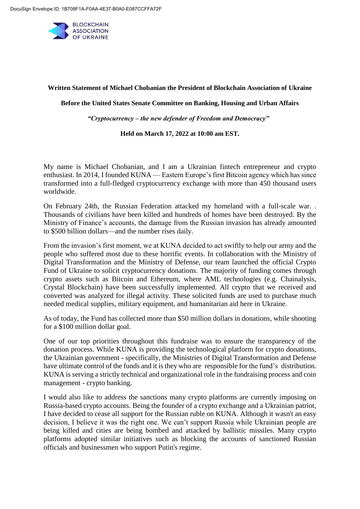

## **Written Statement of Michael Chobanian the President of Blockchain Association of Ukraine**

**Before the United States Senate Committee on Banking, Housing and Urban Affairs**

*"Cryptocurrency – the new defender of Freedom and Democracy"* 

## **Held on March 17, 2022 at 10:00 am EST.**

My name is Michael Chobanian, and I am a Ukrainian fintech entrepreneur and crypto enthusiast. In 2014, I founded KUNA — Eastern Europe's first Bitcoin agency which has since transformed into a full-fledged cryptocurrency exchange with more than 450 thousand users worldwide.

On February 24th, the Russian Federation attacked my homeland with a full-scale war. . Thousands of civilians have been killed and hundreds of homes have been destroyed. By the Ministry of Finance's accounts, the damage from the Russian invasion has already amounted to \$500 billion dollars—and the number rises daily.

From the invasion's first moment, we at KUNA decided to act swiftly to help our army and the people who suffered most due to these horrific events. In collaboration with the Ministry of Digital Transformation and the Ministry of Defense, our team launched the official Crypto Fund of Ukraine to solicit cryptocurrency donations. The majority of funding comes through crypto assets such as Bitcoin and Ethereum, where AML technologies (e.g. Chainalysis, Crystal Blockchain) have been successfully implemented. All crypto that we received and converted was analyzed for illegal activity. These solicited funds are used to purchase much needed medical supplies, military equipment, and humanitarian aid here in Ukraine.

As of today, the Fund has collected more than \$50 million dollars in donations, while shooting for a \$100 million dollar goal.

One of our top priorities throughout this fundraise was to ensure the transparency of the donation process. While KUNA is providing the technological platform for crypto donations, the Ukrainian government - specifically, the Ministries of Digital Transformation and Defense have ultimate control of the funds and it is they who are responsible for the fund's distribution. KUNA is serving a strictly technical and organizational role in the fundraising process and coin management - crypto banking.

I would also like to address the sanctions many crypto platforms are currently imposing on Russia-based crypto accounts. Being the founder of a crypto exchange and a Ukrainian patriot, I have decided to cease all support for the Russian ruble on KUNA. Although it wasn't an easy decision, I believe it was the right one. We can't support Russia while Ukrainian people are being killed and cities are being bombed and attacked by ballistic missiles. Many crypto platforms adopted similar initiatives such as blocking the accounts of sanctioned Russian officials and businessmen who support Putin's regime.